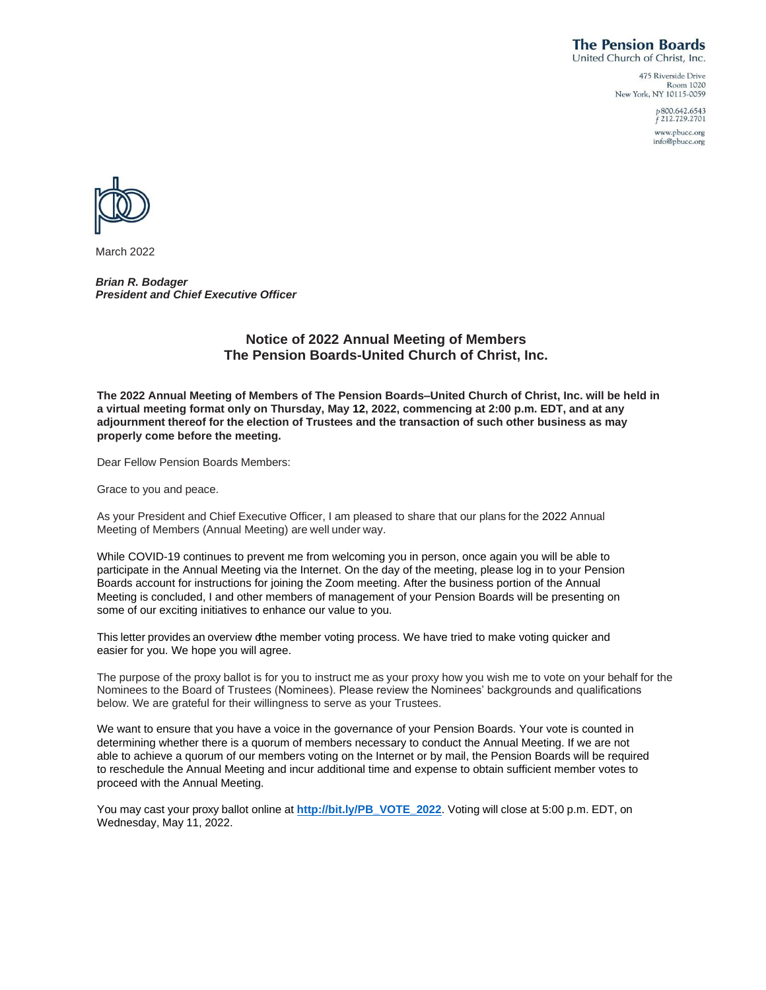# **The Pension Boards**

United Church of Christ, Inc. 475 Riverside Drive

Room 1020 New York, NY 10115-0059

> p800.642.6543<br>f212.729.2701 www.pbucc.org info@pbucc.org



March 2022

*Brian R. Bodager President and Chief Executive Officer*

## **Notice of 2022 Annual Meeting of Members The Pension Boards-United Church of Christ, Inc.**

**The 2022 Annual Meeting of Members of The Pension Boards–United Church of Christ, Inc. will be held in a virtual meeting format only on Thursday, May 12, 2022, commencing at 2:00 p.m. EDT, and at any adjournment thereof for the election of Trustees and the transaction of such other business as may properly come before the meeting.**

Dear Fellow Pension Boards Members:

Grace to you and peace.

As your President and Chief Executive Officer, I am pleased to share that our plans for the 2022 Annual Meeting of Members (Annual Meeting) are well under way.

While COVID-19 continues to prevent me from welcoming you in person, once again you will be able to participate in the Annual Meeting via the Internet. On the day of the meeting, please log in to your Pension Boards account for instructions for joining the Zoom meeting. After the business portion of the Annual Meeting is concluded, I and other members of management of your Pension Boards will be presenting on some of our exciting initiatives to enhance our value to you.

This letter provides an overview othe member voting process. We have tried to make voting quicker and easier for you. We hope you will agree.

The purpose of the proxy ballot is for you to instruct me as your proxy how you wish me to vote on your behalf for the Nominees to the Board of Trustees (Nominees). Please review the Nominees' backgrounds and qualifications below. We are grateful for their willingness to serve as your Trustees.

We want to ensure that you have a voice in the governance of your Pension Boards. Your vote is counted in determining whether there is a quorum of members necessary to conduct the Annual Meeting. If we are not able to achieve a quorum of our members voting on the Internet or by mail, the Pension Boards will be required to reschedule the Annual Meeting and incur additional time and expense to obtain sufficient member votes to proceed with the Annual Meeting.

You may cast your proxy ballot online at **[http://bit.ly/PB\\_VOTE\\_2022](http://bit.ly/PB_VOTE_2022)**. Voting will close at 5:00 p.m. EDT, on Wednesday, May 11, 2022.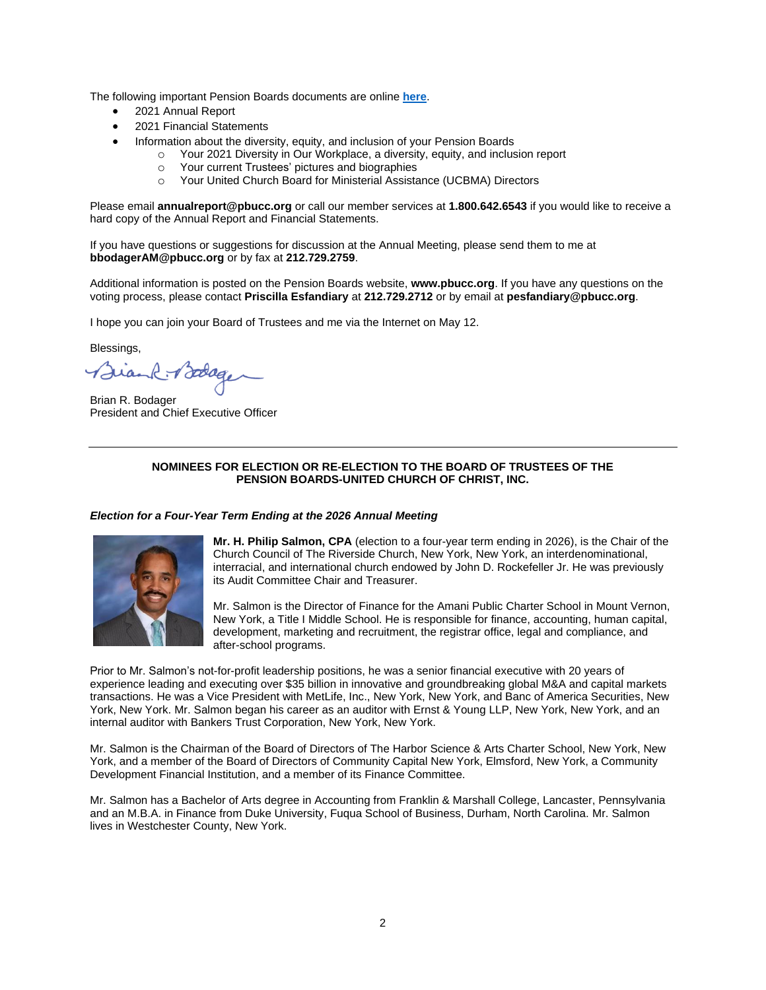The following important Pension Boards documents are online **[here](https://www.pbucc.org/menu-news-sep/latest-news/1514-2022-pension-boards-annual-meeting-of-members-faqs-and-online-voting)**.

- 2021 Annual Report
- 2021 Financial Statements
	- Information about the diversity, equity, and inclusion of your Pension Boards
		- o Your 2021 Diversity in Our Workplace, a diversity, equity, and inclusion report
		- o Your current Trustees' pictures and biographies
		- o Your United Church Board for Ministerial Assistance (UCBMA) Directors

Please email **annualreport@pbucc.org** or call our member services at **1.800.642.6543** if you would like to receive a hard copy of the Annual Report and Financial Statements.

If you have questions or suggestions for discussion at the Annual Meeting, please send them to me at **bbodagerAM@pbucc.org** or by fax at **212.729.2759**.

Additional information is posted on the Pension Boards website, **www.pbucc.org**. If you have any questions on the voting process, please contact **Priscilla Esfandiary** at **212.729.2712** or by email at **pesfandiary@pbucc.org**.

I hope you can join your Board of Trustees and me via the Internet on May 12.

Blessings,

 $R \rightarrow 20000$ 

Brian R. Bodager President and Chief Executive Officer

## **NOMINEES FOR ELECTION OR RE-ELECTION TO THE BOARD OF TRUSTEES OF THE PENSION BOARDS-UNITED CHURCH OF CHRIST, INC.**

#### *Election for a Four-Year Term Ending at the 2026 Annual Meeting*



**Mr. H. Philip Salmon, CPA** (election to a four-year term ending in 2026), is the Chair of the Church Council of The Riverside Church, New York, New York, an interdenominational, interracial, and international church endowed by John D. Rockefeller Jr. He was previously its Audit Committee Chair and Treasurer.

Mr. Salmon is the Director of Finance for the Amani Public Charter School in Mount Vernon, New York, a Title I Middle School. He is responsible for finance, accounting, human capital, development, marketing and recruitment, the registrar office, legal and compliance, and after-school programs.

Prior to Mr. Salmon's not-for-profit leadership positions, he was a senior financial executive with 20 years of experience leading and executing over \$35 billion in innovative and groundbreaking global M&A and capital markets transactions. He was a Vice President with MetLife, Inc., New York, New York, and Banc of America Securities, New York, New York. Mr. Salmon began his career as an auditor with Ernst & Young LLP, New York, New York, and an internal auditor with Bankers Trust Corporation, New York, New York.

Mr. Salmon is the Chairman of the Board of Directors of The Harbor Science & Arts Charter School, New York, New York, and a member of the Board of Directors of Community Capital New York, Elmsford, New York, a Community Development Financial Institution, and a member of its Finance Committee.

Mr. Salmon has a Bachelor of Arts degree in Accounting from Franklin & Marshall College, Lancaster, Pennsylvania and an M.B.A. in Finance from Duke University, Fuqua School of Business, Durham, North Carolina. Mr. Salmon lives in Westchester County, New York.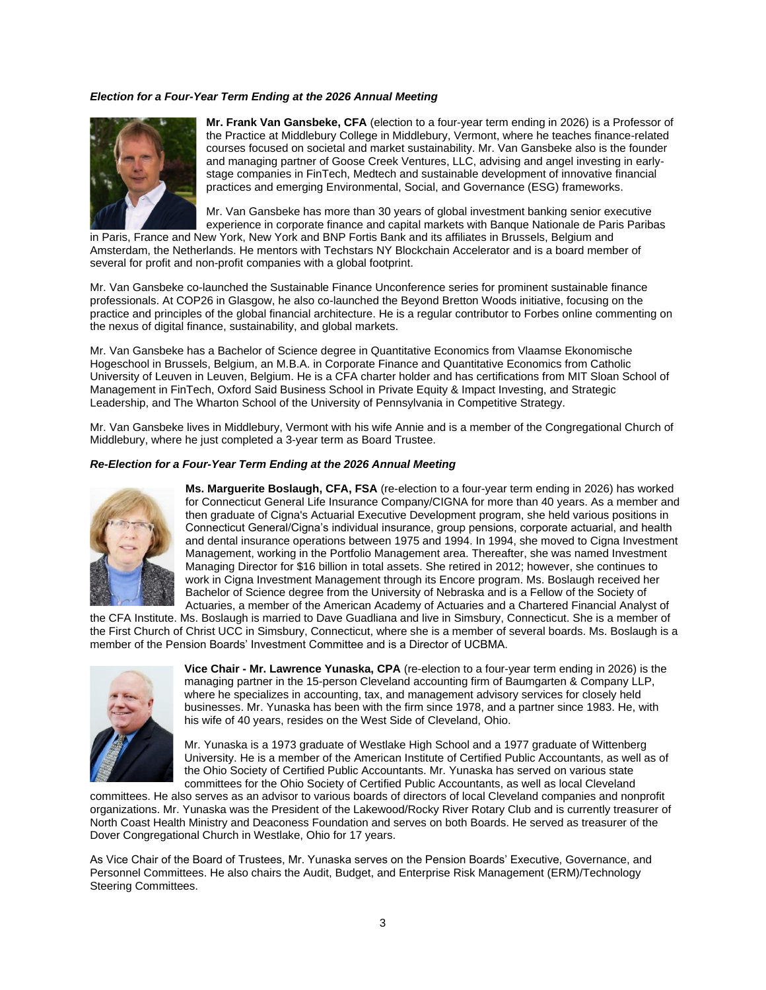## *Election for a Four-Year Term Ending at the 2026 Annual Meeting*



**Mr. Frank Van Gansbeke, CFA** (election to a four-year term ending in 2026) is a Professor of the Practice at Middlebury College in Middlebury, Vermont, where he teaches finance-related courses focused on societal and market sustainability. Mr. Van Gansbeke also is the founder and managing partner of Goose Creek Ventures, LLC, advising and angel investing in earlystage companies in FinTech, Medtech and sustainable development of innovative financial practices and emerging Environmental, Social, and Governance (ESG) frameworks.

Mr. Van Gansbeke has more than 30 years of global investment banking senior executive experience in corporate finance and capital markets with Banque Nationale de Paris Paribas

in Paris, France and New York, New York and BNP Fortis Bank and its affiliates in Brussels, Belgium and Amsterdam, the Netherlands. He mentors with Techstars NY Blockchain Accelerator and is a board member of several for profit and non-profit companies with a global footprint.

Mr. Van Gansbeke co-launched the Sustainable Finance Unconference series for prominent sustainable finance professionals. At COP26 in Glasgow, he also co-launched the Beyond Bretton Woods initiative, focusing on the practice and principles of the global financial architecture. He is a regular contributor to Forbes online commenting on the nexus of digital finance, sustainability, and global markets.

Mr. Van Gansbeke has a Bachelor of Science degree in Quantitative Economics from Vlaamse Ekonomische Hogeschool in Brussels, Belgium, an M.B.A. in Corporate Finance and Quantitative Economics from Catholic University of Leuven in Leuven, Belgium. He is a CFA charter holder and has certifications from MIT Sloan School of Management in FinTech, Oxford Said Business School in Private Equity & Impact Investing, and Strategic Leadership, and The Wharton School of the University of Pennsylvania in Competitive Strategy.

Mr. Van Gansbeke lives in Middlebury, Vermont with his wife Annie and is a member of the Congregational Church of Middlebury, where he just completed a 3-year term as Board Trustee.

#### *Re-Election for a Four-Year Term Ending at the 2026 Annual Meeting*



**Ms. Marguerite Boslaugh, CFA, FSA** (re-election to a four-year term ending in 2026) has worked for Connecticut General Life Insurance Company/CIGNA for more than 40 years. As a member and then graduate of Cigna's Actuarial Executive Development program, she held various positions in Connecticut General/Cigna's individual insurance, group pensions, corporate actuarial, and health and dental insurance operations between 1975 and 1994. In 1994, she moved to Cigna Investment Management, working in the Portfolio Management area. Thereafter, she was named Investment Managing Director for \$16 billion in total assets. She retired in 2012; however, she continues to work in Cigna Investment Management through its Encore program. Ms. Boslaugh received her Bachelor of Science degree from the University of Nebraska and is a Fellow of the Society of Actuaries, a member of the American Academy of Actuaries and a Chartered Financial Analyst of

the CFA Institute. Ms. Boslaugh is married to Dave Guadliana and live in Simsbury, Connecticut. She is a member of the First Church of Christ UCC in Simsbury, Connecticut, where she is a member of several boards. Ms. Boslaugh is a member of the Pension Boards' Investment Committee and is a Director of UCBMA.



**Vice Chair - Mr. Lawrence Yunaska, CPA** (re-election to a four-year term ending in 2026) is the managing partner in the 15-person Cleveland accounting firm of Baumgarten & Company LLP, where he specializes in accounting, tax, and management advisory services for closely held businesses. Mr. Yunaska has been with the firm since 1978, and a partner since 1983. He, with his wife of 40 years, resides on the West Side of Cleveland, Ohio.

Mr. Yunaska is a 1973 graduate of Westlake High School and a 1977 graduate of Wittenberg University. He is a member of the American Institute of Certified Public Accountants, as well as of the Ohio Society of Certified Public Accountants. Mr. Yunaska has served on various state committees for the Ohio Society of Certified Public Accountants, as well as local Cleveland

committees. He also serves as an advisor to various boards of directors of local Cleveland companies and nonprofit organizations. Mr. Yunaska was the President of the Lakewood/Rocky River Rotary Club and is currently treasurer of North Coast Health Ministry and Deaconess Foundation and serves on both Boards. He served as treasurer of the Dover Congregational Church in Westlake, Ohio for 17 years.

As Vice Chair of the Board of Trustees, Mr. Yunaska serves on the Pension Boards' Executive, Governance, and Personnel Committees. He also chairs the Audit, Budget, and Enterprise Risk Management (ERM)/Technology Steering Committees.